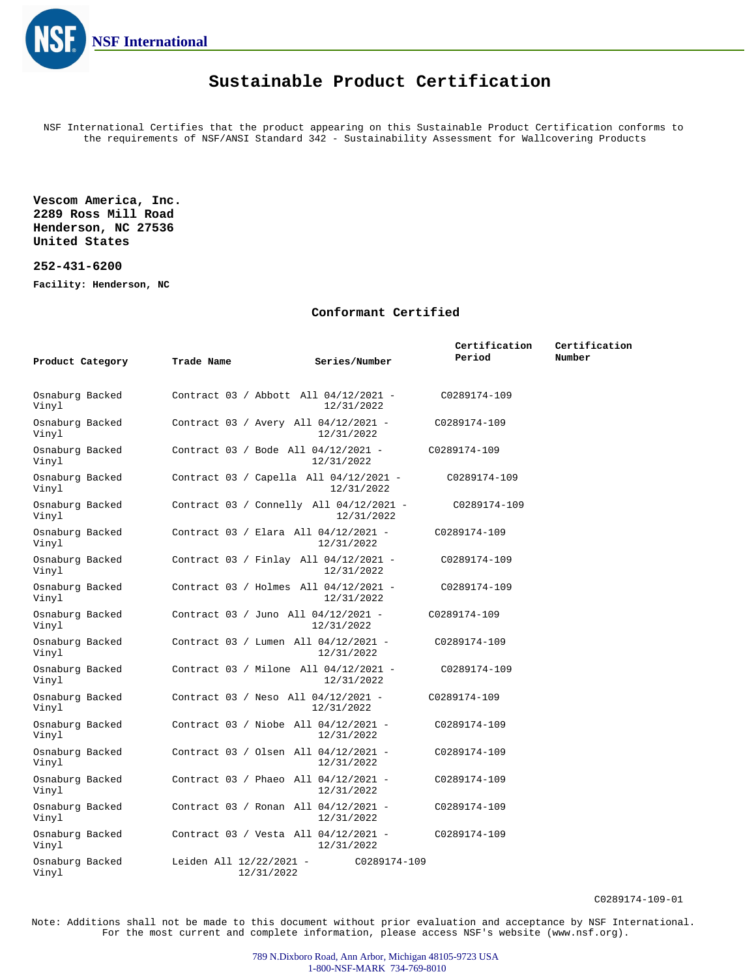

## **Sustainable Product Certification**

NSF International Certifies that the product appearing on this Sustainable Product Certification conforms to the requirements of NSF/ANSI Standard 342 - Sustainability Assessment for Wallcovering Products

**Vescom America, Inc. 2289 Ross Mill Road Henderson, NC 27536 United States**

## **252-431-6200**

**Facility: Henderson, NC**

## **Conformant Certified**

|                          |                                       |                                                       | Certification | Certification |
|--------------------------|---------------------------------------|-------------------------------------------------------|---------------|---------------|
| Product Category         | Trade Name                            | Series/Number                                         | Period        | Number        |
|                          |                                       |                                                       |               |               |
| Osnaburg Backed<br>Vinyl |                                       | Contract 03 / Abbott All 04/12/2021 -<br>12/31/2022   | C0289174-109  |               |
| Osnaburg Backed<br>Vinyl |                                       | Contract 03 / Avery All 04/12/2021 -<br>12/31/2022    | C0289174-109  |               |
| Osnaburg Backed<br>Vinyl |                                       | Contract 03 / Bode All 04/12/2021 -<br>12/31/2022     | C0289174-109  |               |
| Osnaburg Backed<br>Vinyl |                                       | Contract 03 / Capella All 04/12/2021 -<br>12/31/2022  | C0289174-109  |               |
| Osnaburg Backed<br>Vinyl |                                       | Contract 03 / Connelly All 04/12/2021 -<br>12/31/2022 | C0289174-109  |               |
| Osnaburg Backed<br>Vinyl |                                       | Contract 03 / Elara All 04/12/2021 -<br>12/31/2022    | C0289174-109  |               |
| Osnaburg Backed<br>Vinyl |                                       | Contract 03 / Finlay All 04/12/2021 -<br>12/31/2022   | C0289174-109  |               |
| Osnaburg Backed<br>Vinyl |                                       | Contract 03 / Holmes All 04/12/2021 -<br>12/31/2022   | C0289174-109  |               |
| Osnaburg Backed<br>Vinyl |                                       | Contract 03 / Juno All 04/12/2021 -<br>12/31/2022     | C0289174-109  |               |
| Osnaburg Backed<br>Vinyl |                                       | Contract 03 / Lumen All 04/12/2021 -<br>12/31/2022    | C0289174-109  |               |
| Osnaburg Backed<br>Vinyl |                                       | Contract 03 / Milone All 04/12/2021 -<br>12/31/2022   | C0289174-109  |               |
| Osnaburg Backed<br>Vinyl |                                       | Contract 03 / Neso All 04/12/2021 -<br>12/31/2022     | C0289174-109  |               |
| Osnaburg Backed<br>Vinyl |                                       | Contract 03 / Niobe All 04/12/2021 -<br>12/31/2022    | C0289174-109  |               |
| Osnaburg Backed<br>Vinyl |                                       | Contract 03 / Olsen All 04/12/2021 -<br>12/31/2022    | C0289174-109  |               |
| Osnaburg Backed<br>Vinyl |                                       | Contract 03 / Phaeo All 04/12/2021 -<br>12/31/2022    | C0289174-109  |               |
| Osnaburg Backed<br>Vinyl |                                       | Contract 03 / Ronan All 04/12/2021 -<br>12/31/2022    | C0289174-109  |               |
| Osnaburg Backed<br>Vinyl |                                       | Contract 03 / Vesta All 04/12/2021 -<br>12/31/2022    | C0289174-109  |               |
| Osnaburg Backed<br>Vinyl | Leiden All 12/22/2021 -<br>12/31/2022 | C0289174-109                                          |               |               |

C0289174-109-01

Note: Additions shall not be made to this document without prior evaluation and acceptance by NSF International. For the most current and complete information, please access NSF's website (www.nsf.org).